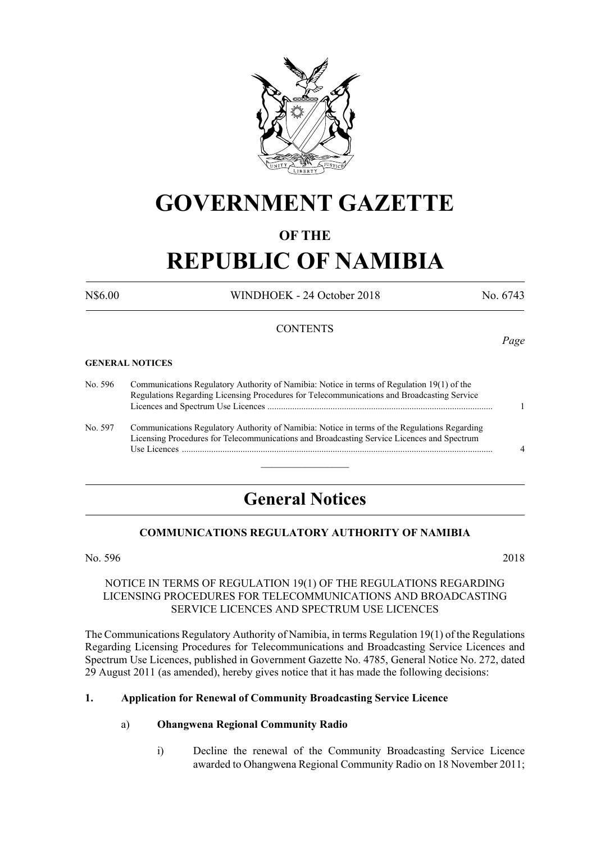

## **GOVERNMENT GAZETTE**

#### **OF THE**

# **REPUBLIC OF NAMIBIA**

N\$6.00 WINDHOEK - 24 October 2018 No. 6743

#### **CONTENTS**

#### **GENERAL NOTICES**

No. 596 Communications Regulatory Authority of Namibia: Notice in terms of Regulation 19(1) of the Regulations Regarding Licensing Procedures for Telecommunications and Broadcasting Service Licences and Spectrum Use Licences .................................................................................................... 1 No. 597 Communications Regulatory Authority of Namibia: Notice in terms of the Regulations Regarding

Licensing Procedures for Telecommunications and Broadcasting Service Licences and Spectrum Use Licences .......................................................................................................................................... 4

### **General Notices**

 $\frac{1}{2}$ 

#### **COMMUNICATIONS REGULATORY AUTHORITY OF NAMIBIA**

No. 596 2018

#### NOTICE IN TERMS OF REGULATION 19(1) OF THE REGULATIONS REGARDING LICENSING PROCEDURES FOR TELECOMMUNICATIONS AND BROADCASTING SERVICE LICENCES AND SPECTRUM USE LICENCES

The Communications Regulatory Authority of Namibia, in terms Regulation 19(1) of the Regulations Regarding Licensing Procedures for Telecommunications and Broadcasting Service Licences and Spectrum Use Licences, published in Government Gazette No. 4785, General Notice No. 272, dated 29 August 2011 (as amended), hereby gives notice that it has made the following decisions:

#### **1. Application for Renewal of Community Broadcasting Service Licence**

#### a) **Ohangwena Regional Community Radio**

i) Decline the renewal of the Community Broadcasting Service Licence awarded to Ohangwena Regional Community Radio on 18 November 2011;

*Page*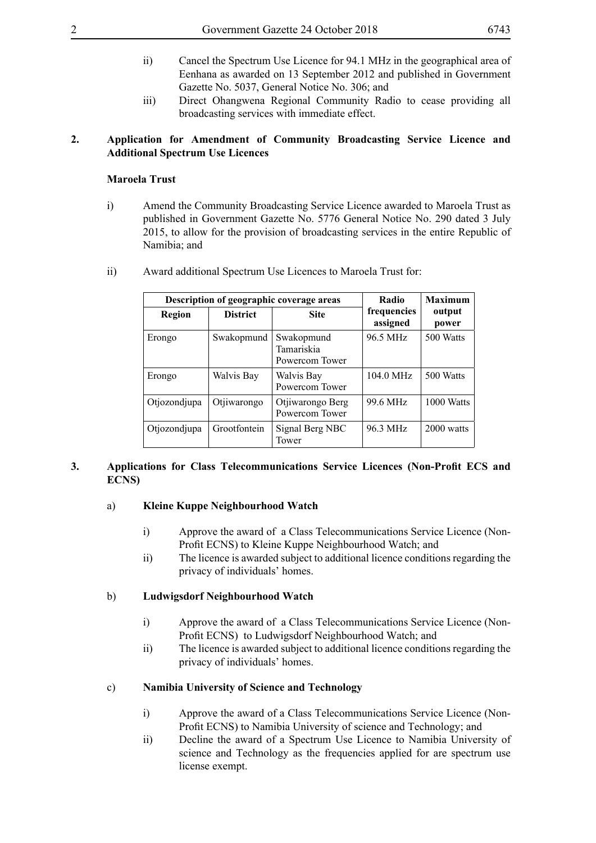- ii) Cancel the Spectrum Use Licence for 94.1 MHz in the geographical area of Eenhana as awarded on 13 September 2012 and published in Government Gazette No. 5037, General Notice No. 306; and
- iii) Direct Ohangwena Regional Community Radio to cease providing all broadcasting services with immediate effect.

#### **2. Application for Amendment of Community Broadcasting Service Licence and Additional Spectrum Use Licences**

#### **Maroela Trust**

i) Amend the Community Broadcasting Service Licence awarded to Maroela Trust as published in Government Gazette No. 5776 General Notice No. 290 dated 3 July 2015, to allow for the provision of broadcasting services in the entire Republic of Namibia; and

| Description of geographic coverage areas |                 |                                            | Radio                   | <b>Maximum</b>  |  |
|------------------------------------------|-----------------|--------------------------------------------|-------------------------|-----------------|--|
| Region                                   | <b>District</b> | <b>Site</b>                                | frequencies<br>assigned | output<br>power |  |
| Erongo                                   | Swakopmund      | Swakopmund<br>Tamariskia<br>Powercom Tower | 96.5 MHz                | 500 Watts       |  |
| Erongo                                   | Walvis Bay      | Walvis Bay<br>Powercom Tower               | $104.0$ MHz             | 500 Watts       |  |
| Otjozondjupa                             | Otjiwarongo     | Otjiwarongo Berg<br>Powercom Tower         | 99.6 MHz                | 1000 Watts      |  |
| Otjozondjupa                             | Grootfontein    | Signal Berg NBC<br>Tower                   | 96.3 MHz                | 2000 watts      |  |

ii) Award additional Spectrum Use Licences to Maroela Trust for:

#### **3. Applications for Class Telecommunications Service Licences (Non-Profit ECS and ECNS)**

#### a) **Kleine Kuppe Neighbourhood Watch**

- i) Approve the award of a Class Telecommunications Service Licence (Non-Profit ECNS) to Kleine Kuppe Neighbourhood Watch; and
- ii) The licence is awarded subject to additional licence conditions regarding the privacy of individuals' homes.

#### b) **Ludwigsdorf Neighbourhood Watch**

- i) Approve the award of a Class Telecommunications Service Licence (Non-Profit ECNS) to Ludwigsdorf Neighbourhood Watch; and
- ii) The licence is awarded subject to additional licence conditions regarding the privacy of individuals' homes.

#### c) **Namibia University of Science and Technology**

- i) Approve the award of a Class Telecommunications Service Licence (Non-Profit ECNS) to Namibia University of science and Technology; and
- ii) Decline the award of a Spectrum Use Licence to Namibia University of science and Technology as the frequencies applied for are spectrum use license exempt.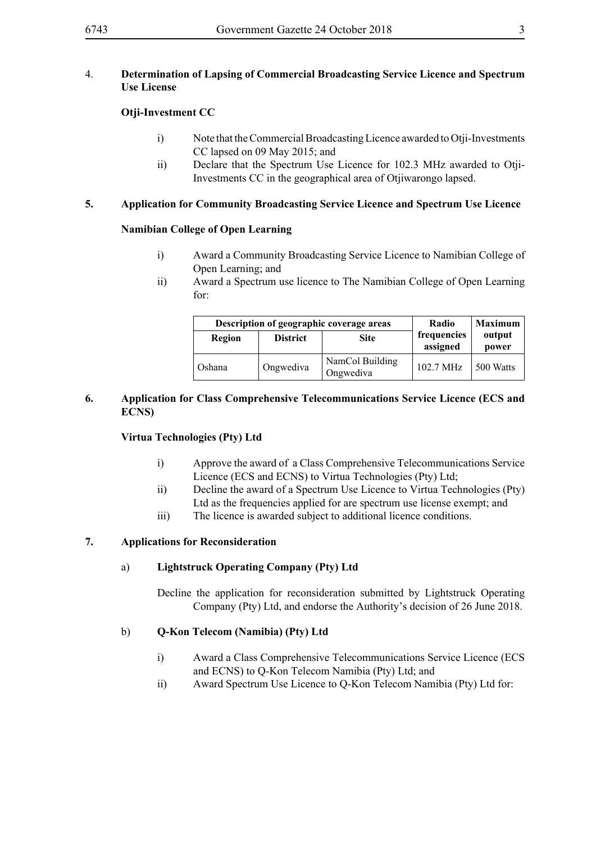#### 4. **Determination of Lapsing of Commercial Broadcasting Service Licence and Spectrum Use License**

#### **Otji-Investment CC**

- i) Note that the Commercial Broadcasting Licence awarded to Otji-Investments CC lapsed on 09 May 2015; and
- ii) Declare that the Spectrum Use Licence for 102.3 MHz awarded to Otji-Investments CC in the geographical area of Otjiwarongo lapsed.

#### **5. Application for Community Broadcasting Service Licence and Spectrum Use Licence**

#### **Namibian College of Open Learning**

- i) Award a Community Broadcasting Service Licence to Namibian College of Open Learning; and
- ii) Award a Spectrum use licence to The Namibian College of Open Learning for:

| Description of geographic coverage areas |                 |                              | Radio                   | <b>Maximum</b>  |  |
|------------------------------------------|-----------------|------------------------------|-------------------------|-----------------|--|
| Region                                   | <b>District</b> | <b>Site</b>                  | frequencies<br>assigned | output<br>power |  |
| Oshana                                   | Ongwediva       | NamCol Building<br>Ongwediva | 102.7 MHz               | 500 Watts       |  |

#### **6. Application for Class Comprehensive Telecommunications Service Licence (ECS and ECNS)**

#### **Virtua Technologies (Pty) Ltd**

- i) Approve the award of a Class Comprehensive Telecommunications Service Licence (ECS and ECNS) to Virtua Technologies (Pty) Ltd;
- ii) Decline the award of a Spectrum Use Licence to Virtua Technologies (Pty) Ltd as the frequencies applied for are spectrum use license exempt; and
- iii) The licence is awarded subject to additional licence conditions.

#### **7. Applications for Reconsideration**

#### a) **Lightstruck Operating Company (Pty) Ltd**

Decline the application for reconsideration submitted by Lightstruck Operating Company (Pty) Ltd, and endorse the Authority's decision of 26 June 2018.

#### b) **Q-Kon Telecom (Namibia) (Pty) Ltd**

- i) Award a Class Comprehensive Telecommunications Service Licence (ECS and ECNS) to Q-Kon Telecom Namibia (Pty) Ltd; and
- ii) Award Spectrum Use Licence to Q-Kon Telecom Namibia (Pty) Ltd for: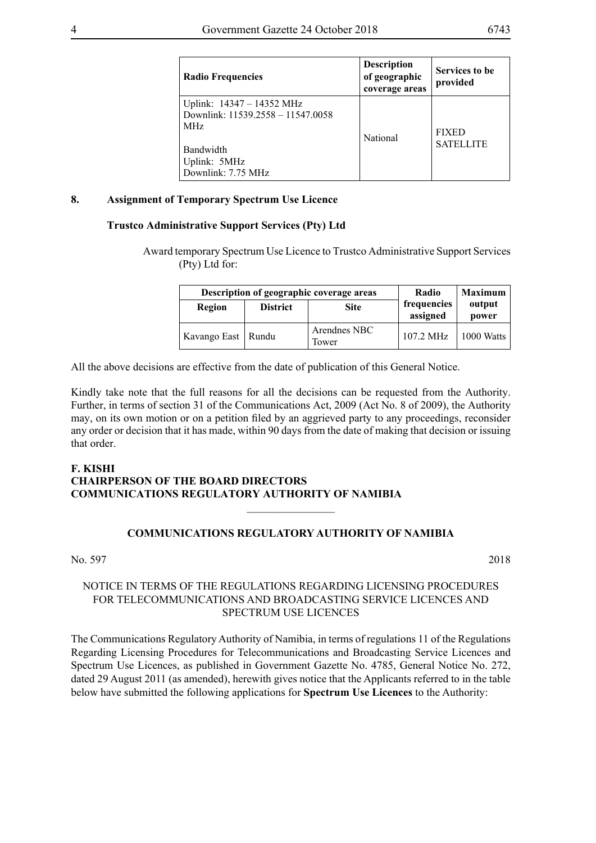| <b>Radio Frequencies</b>                                                                                                             | <b>Description</b><br>of geographic<br>coverage areas | Services to be<br>provided       |
|--------------------------------------------------------------------------------------------------------------------------------------|-------------------------------------------------------|----------------------------------|
| Uplink: 14347 – 14352 MHz<br>Downlink: 11539.2558 - 11547.0058<br>MH <sub>z</sub><br>Bandwidth<br>Uplink: 5MHz<br>Downlink: 7.75 MHz | National                                              | <b>FIXED</b><br><b>SATELLITE</b> |

#### **8. Assignment of Temporary Spectrum Use Licence**

#### **Trustco Administrative Support Services (Pty) Ltd**

Award temporary Spectrum Use Licence to Trustco Administrative Support Services (Pty) Ltd for:

| Description of geographic coverage areas |                 |                       | Radio                   | <b>Maximum</b>  |  |
|------------------------------------------|-----------------|-----------------------|-------------------------|-----------------|--|
| Region                                   | <b>District</b> | <b>Site</b>           | frequencies<br>assigned | output<br>power |  |
| Kavango East   Rundu                     |                 | Arendnes NBC<br>Tower | $107.2 \text{ MHz}$     | 1000 Watts      |  |

All the above decisions are effective from the date of publication of this General Notice.

Kindly take note that the full reasons for all the decisions can be requested from the Authority. Further, in terms of section 31 of the Communications Act, 2009 (Act No. 8 of 2009), the Authority may, on its own motion or on a petition filed by an aggrieved party to any proceedings, reconsider any order or decision that it has made, within 90 days from the date of making that decision or issuing that order.

#### **F. KISHI CHAIRPERSON OF THE BOARD DIRECTORS COMMUNICATIONS REGULATORY AUTHORITY OF NAMIBIA**

#### **COMMUNICATIONS REGULATORY AUTHORITY OF NAMIBIA**

 $\frac{1}{2}$ 

#### No. 597 2018

#### NOTICE IN TERMS OF THE REGULATIONS REGARDING LICENSING PROCEDURES FOR TELECOMMUNICATIONS AND BROADCASTING SERVICE LICENCES AND SPECTRUM USE LICENCES

The Communications Regulatory Authority of Namibia, in terms of regulations 11 of the Regulations Regarding Licensing Procedures for Telecommunications and Broadcasting Service Licences and Spectrum Use Licences, as published in Government Gazette No. 4785, General Notice No. 272, dated 29 August 2011 (as amended), herewith gives notice that the Applicants referred to in the table below have submitted the following applications for **Spectrum Use Licences** to the Authority: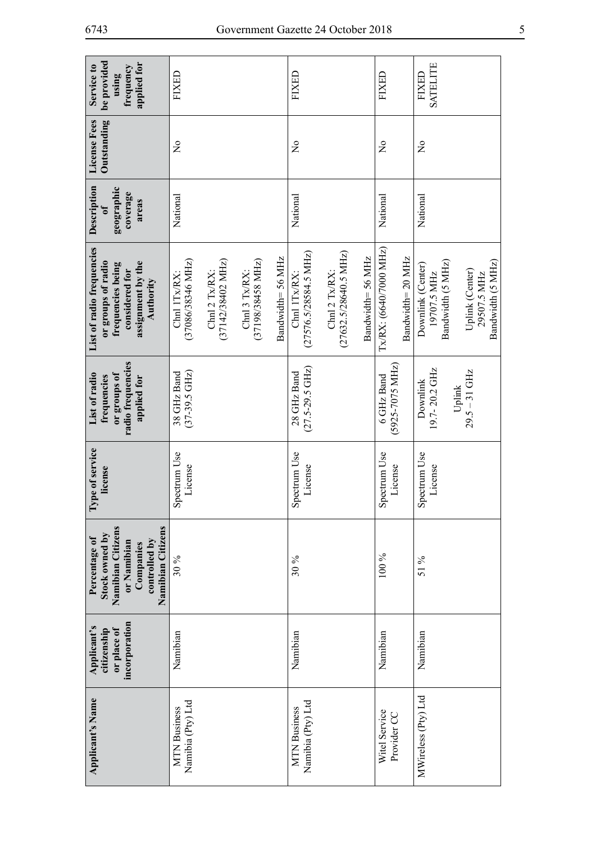| be provided<br>applied for<br>Service to<br>frequency<br>using                                                                  | FIXED                                                                                                                                                     | FIXED                                                                                                                  | FIXED                                      | SATELITE<br>FIXED                                                                                            |
|---------------------------------------------------------------------------------------------------------------------------------|-----------------------------------------------------------------------------------------------------------------------------------------------------------|------------------------------------------------------------------------------------------------------------------------|--------------------------------------------|--------------------------------------------------------------------------------------------------------------|
| Outstanding<br>License Fees                                                                                                     | $\frac{1}{2}$                                                                                                                                             | $\tilde{z}$                                                                                                            | $\tilde{z}$                                | $\tilde{z}$                                                                                                  |
| Description<br>geographic<br>coverage<br>areas<br>$\mathbf{f}$                                                                  | National                                                                                                                                                  | National                                                                                                               | National                                   | National                                                                                                     |
| List of radio frequencies<br>or groups of radio<br>assignment by the<br>frequencies being<br>considered for<br><b>Authority</b> | Bandwidth= 56 MHz<br>$(37198/38458 \text{ MHz})$<br>(37086/38346 MHz)<br>$(37142/38402 \text{ MHz})$<br>Chnl 3 Tx/RX:<br>Chnl 2 $Tx/RX$ :<br>Chnl 1Tx/RX: | $(27632.5/28640.5 \text{ MHz})$<br>$(27576.5/28584.5 \text{ MHz})$<br>Bandwidth=56 MHz<br>Chn12 Tx/RX:<br>Chnl 1Tx/RX: | Tx/RX: (6640/7000 MHz)<br>Bandwidth=20 MHz | Bandwidth (5 MHz)<br>Bandwidth (5 MHz)<br>Downlink (Center)<br>Uplink (Center)<br>19707.5 MHz<br>29507.5 MHz |
| radio frequencies<br>List of radio<br>or groups of<br>frequencies<br>applied for                                                | $(37-39.5 \text{ GHz})$<br>38 GHz Band                                                                                                                    | $(27.5-29.5 \text{ GHz})$<br>28 GHz Band                                                                               | $(5925 - 7075 \text{ MHz})$<br>6 GHz Band  | 19.7-20.2 GHz<br>Uplink<br>$29.5 - 31 \text{ GHz}$<br>Downlink                                               |
| Type of service<br>license                                                                                                      | Spectrum Use<br>License                                                                                                                                   | Spectrum Use<br>License                                                                                                | Spectrum Use<br>License                    | Spectrum Use<br>License                                                                                      |
| Namibian Citizens<br>Namibian Citizens<br>Stock owned by<br>Percentage of<br>controlled by<br>or Namibian<br>Companies          | 30%                                                                                                                                                       | 30 %                                                                                                                   | 100 %                                      | 51 %                                                                                                         |
| incorporation<br>Applicant's<br>citizenship<br>or place of                                                                      | Namibian                                                                                                                                                  | Namibian                                                                                                               | Namibian                                   | Namibian                                                                                                     |
| Applicant's Name                                                                                                                | Namibia (Pty) Ltd<br><b>MTN</b> Business                                                                                                                  | Namibia (Pty) Ltd<br><b>MTN</b> Business                                                                               | Witel Service<br>Provider CC               | MWireless (Pty) Ltd                                                                                          |